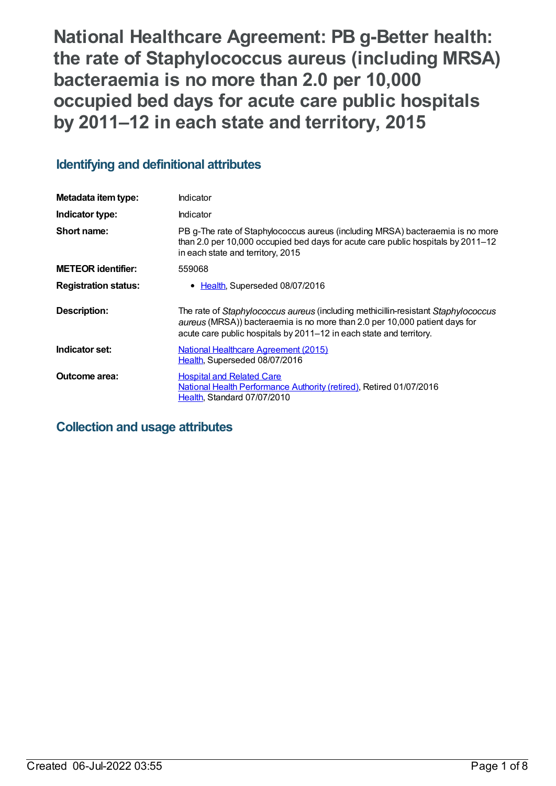**National Healthcare Agreement: PB g-Better health: the rate of Staphylococcus aureus (including MRSA) bacteraemia is no more than 2.0 per 10,000 occupied bed days for acute care public hospitals by 2011–12 in each state and territory, 2015**

## **Identifying and definitional attributes**

| Metadata item type:         | Indicator                                                                                                                                                                                                                              |
|-----------------------------|----------------------------------------------------------------------------------------------------------------------------------------------------------------------------------------------------------------------------------------|
| Indicator type:             | Indicator                                                                                                                                                                                                                              |
| Short name:                 | PB g-The rate of Staphylococcus aureus (including MRSA) bacteraemia is no more<br>than 2.0 per 10,000 occupied bed days for acute care public hospitals by 2011-12<br>in each state and territory, 2015                                |
| <b>METEOR identifier:</b>   | 559068                                                                                                                                                                                                                                 |
| <b>Registration status:</b> | • Health, Superseded 08/07/2016                                                                                                                                                                                                        |
| Description:                | The rate of Staphylococcus aureus (including methicillin-resistant Staphylococcus<br>aureus (MRSA)) bacteraemia is no more than 2.0 per 10,000 patient days for<br>acute care public hospitals by 2011-12 in each state and territory. |
| Indicator set:              | <b>National Healthcare Agreement (2015)</b><br>Health, Superseded 08/07/2016                                                                                                                                                           |
| Outcome area:               | <b>Hospital and Related Care</b><br>National Health Performance Authority (retired), Retired 01/07/2016<br>Health, Standard 07/07/2010                                                                                                 |

## **Collection and usage attributes**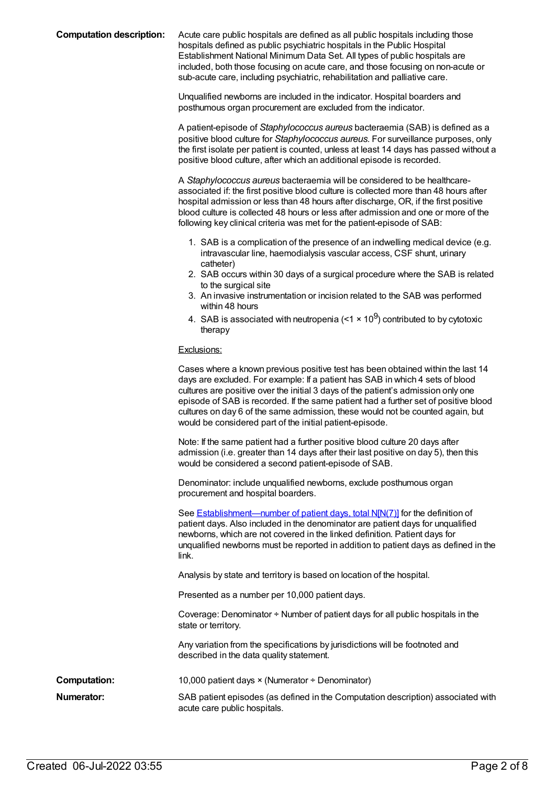**Computation description:** Acute care public hospitals are defined as all public hospitals including those hospitals defined as public psychiatric hospitals in the Public Hospital Establishment National Minimum Data Set. All types of public hospitals are included, both those focusing on acute care, and those focusing on non-acute or sub-acute care, including psychiatric, rehabilitation and palliative care.

> Unqualified newborns are included in the indicator. Hospital boarders and posthumous organ procurement are excluded from the indicator.

A patient-episode of *Staphylococcus aureus* bacteraemia (SAB) is defined as a positive blood culture for *Staphylococcus aureus*. For surveillance purposes, only the first isolate per patient is counted, unless at least 14 days has passed without a positive blood culture, after which an additional episode is recorded.

A *Staphylococcus aureus* bacteraemia will be considered to be healthcareassociated if: the first positive blood culture is collected more than 48 hours after hospital admission or less than 48 hours after discharge, OR, if the first positive blood culture is collected 48 hours or less after admission and one or more of the following key clinical criteria was met for the patient-episode of SAB:

- 1. SAB is a complication of the presence of an indwelling medical device (e.g. intravascular line, haemodialysis vascular access, CSF shunt, urinary catheter)
- 2. SAB occurs within 30 days of a surgical procedure where the SAB is related to the surgical site
- 3. An invasive instrumentation or incision related to the SAB was performed within 48 hours
- 4. SAB is associated with neutropenia (<1  $\times$  10<sup>9</sup>) contributed to by cytotoxic therapy

#### Exclusions:

Cases where a known previous positive test has been obtained within the last 14 days are excluded. For example: If a patient has SAB in which 4 sets of blood cultures are positive over the initial 3 days of the patient's admission only one episode of SAB is recorded. If the same patient had a further set of positive blood cultures on day 6 of the same admission, these would not be counted again, but would be considered part of the initial patient-episode. Note: If the same patient had a further positive blood culture 20 days after admission (i.e. greater than 14 days after their last positive on day 5), then this would be considered a second patient-episode of SAB. Denominator: include unqualified newborns, exclude posthumous organ procurement and hospital boarders.

See **[Establishment—number](file:///content/270045) of patient days, total N[N(7)]** for the definition of patient days. Also included in the denominator are patient days for unqualified newborns, which are not covered in the linked definition. Patient days for unqualified newborns must be reported in addition to patient days as defined in the link.

Analysis by state and territory is based on location of the hospital.

Presented as a number per 10,000 patient days.

Coverage: Denominator ÷ Number of patient days for all public hospitals in the state or territory.

Any variation from the specifications by jurisdictions will be footnoted and described in the data quality statement.

**Computation:** 10,000 patient days × (Numerator ÷ Denominator)

**Numerator:** SAB patient episodes (as defined in the Computation description) associated with acute care public hospitals.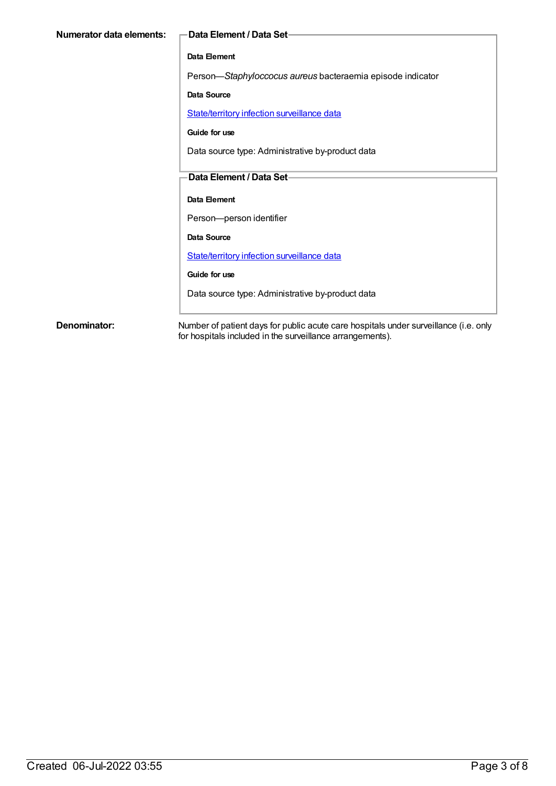| Numerator data elements: | -Data Element / Data Set-                                  |
|--------------------------|------------------------------------------------------------|
|                          | Data Element                                               |
|                          | Person-Staphyloccocus aureus bacteraemia episode indicator |
|                          | <b>Data Source</b>                                         |
|                          | State/territory infection surveillance data                |
|                          | Guide for use                                              |
|                          | Data source type: Administrative by-product data           |
|                          | Data Element / Data Set-                                   |
|                          | Data Element                                               |
|                          | Person-person identifier                                   |
|                          | Data Source                                                |
|                          | State/territory infection surveillance data                |
|                          | Guide for use                                              |
|                          | Data source type: Administrative by-product data           |
|                          |                                                            |

**Denominator:** Number of patient days for public acute care hospitals under surveillance (i.e. only for hospitals included in the surveillance arrangements).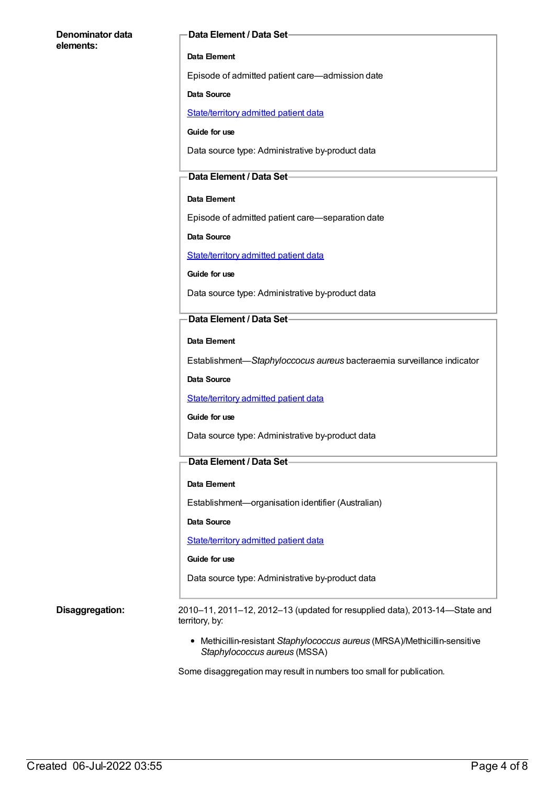#### **Denominator data elements:**

#### **Data Element / Data Set**

#### **Data Element**

Episode of admitted patient care—admission date

#### **Data Source**

[State/territory](https://meteor.aihw.gov.au/content/426458) admitted patient data

**Guide for use**

Data source type: Administrative by-product data

#### **Data Element / Data Set**

#### **Data Element**

Episode of admitted patient care—separation date

**Data Source**

[State/territory](https://meteor.aihw.gov.au/content/426458) admitted patient data

**Guide for use**

Data source type: Administrative by-product data

#### **Data Element / Data Set**

**Data Element**

Establishment—*Staphyloccocus aureus* bacteraemia surveillance indicator

**Data Source**

[State/territory](https://meteor.aihw.gov.au/content/426458) admitted patient data

#### **Guide for use**

Data source type: Administrative by-product data

### **Data Element / Data Set**

#### **Data Element**

Establishment—organisation identifier (Australian)

**Data Source**

[State/territory](https://meteor.aihw.gov.au/content/426458) admitted patient data

#### **Guide for use**

Data source type: Administrative by-product data

**Disaggregation:** 2010–11, 2011–12, 2012–13 (updated for resupplied data), 2013-14—State and territory, by:

> Methicillin-resistant *Staphylococcus aureus* (MRSA)/Methicillin-sensitive *Staphylococcus aureus* (MSSA)

Some disaggregation may result in numbers too small for publication.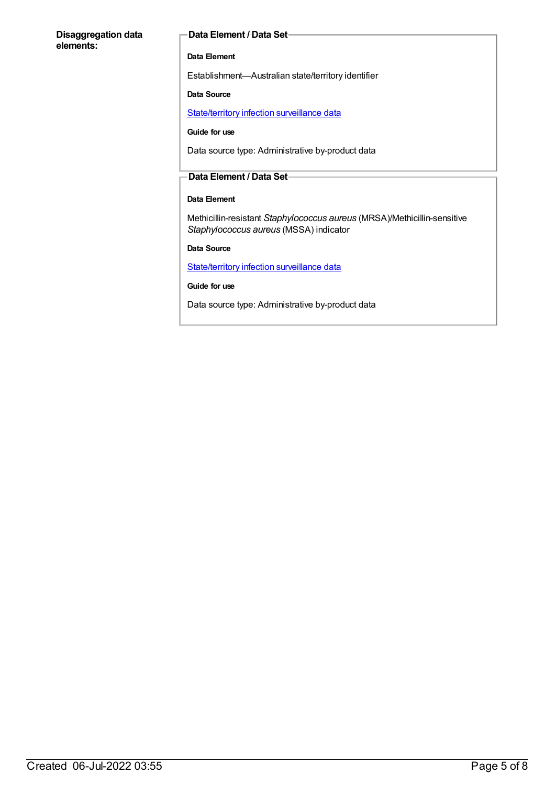#### **Disaggregation data elements:**

#### **Data Element / Data Set**

#### **Data Element**

Establishment—Australian state/territory identifier

#### **Data Source**

[State/territory](https://meteor.aihw.gov.au/content/402699) infection surveillance data

#### **Guide for use**

Data source type: Administrative by-product data

#### **Data Element / Data Set**

### **Data Element**

Methicillin-resistant *Staphylococcus aureus* (MRSA)/Methicillin-sensitive *Staphylococcus aureus* (MSSA) indicator

**Data Source**

[State/territory](https://meteor.aihw.gov.au/content/402699) infection surveillance data

**Guide for use**

Data source type: Administrative by-product data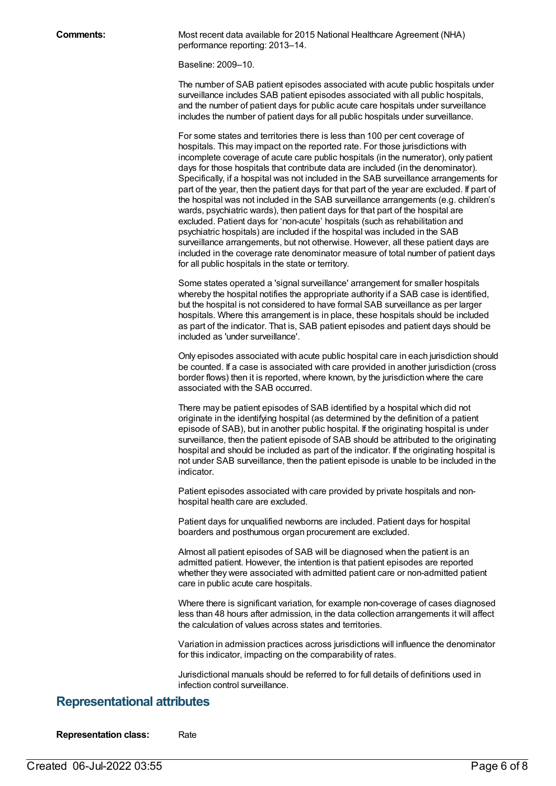**Comments:** Most recent data available for 2015 National Healthcare Agreement (NHA) performance reporting: 2013–14.

Baseline: 2009–10.

The number of SAB patient episodes associated with acute public hospitals under surveillance includes SAB patient episodes associated with all public hospitals, and the number of patient days for public acute care hospitals under surveillance includes the number of patient days for all public hospitals under surveillance.

For some states and territories there is less than 100 per cent coverage of hospitals. This may impact on the reported rate. For those jurisdictions with incomplete coverage of acute care public hospitals (in the numerator), only patient days for those hospitals that contribute data are included (in the denominator). Specifically, if a hospital was not included in the SAB surveillance arrangements for part of the year, then the patient days for that part of the year are excluded. If part of the hospital was not included in the SAB surveillance arrangements (e.g. children's wards, psychiatric wards), then patient days for that part of the hospital are excluded. Patient days for 'non-acute' hospitals (such as rehabilitation and psychiatric hospitals) are included if the hospital was included in the SAB surveillance arrangements, but not otherwise. However, all these patient days are included in the coverage rate denominator measure of total number of patient days for all public hospitals in the state or territory.

Some states operated a 'signal surveillance' arrangement for smaller hospitals whereby the hospital notifies the appropriate authority if a SAB case is identified, but the hospital is not considered to have formal SAB surveillance as per larger hospitals. Where this arrangement is in place, these hospitals should be included as part of the indicator. That is, SAB patient episodes and patient days should be included as 'under surveillance'.

Only episodes associated with acute public hospital care in each jurisdiction should be counted. If a case is associated with care provided in another jurisdiction (cross border flows) then it is reported, where known, by the jurisdiction where the care associated with the SAB occurred.

There may be patient episodes of SAB identified by a hospital which did not originate in the identifying hospital (as determined by the definition of a patient episode of SAB), but in another public hospital. If the originating hospital is under surveillance, then the patient episode of SAB should be attributed to the originating hospital and should be included as part of the indicator. If the originating hospital is not under SAB surveillance, then the patient episode is unable to be included in the indicator.

Patient episodes associated with care provided by private hospitals and nonhospital health care are excluded.

Patient days for unqualified newborns are included. Patient days for hospital boarders and posthumous organ procurement are excluded.

Almost all patient episodes of SAB will be diagnosed when the patient is an admitted patient. However, the intention is that patient episodes are reported whether they were associated with admitted patient care or non-admitted patient care in public acute care hospitals.

Where there is significant variation, for example non-coverage of cases diagnosed less than 48 hours after admission, in the data collection arrangements it will affect the calculation of values across states and territories.

Variation in admission practices across jurisdictions will influence the denominator for this indicator, impacting on the comparability of rates.

Jurisdictional manuals should be referred to for full details of definitions used in infection control surveillance.

### **Representational attributes**

**Representation class:** Rate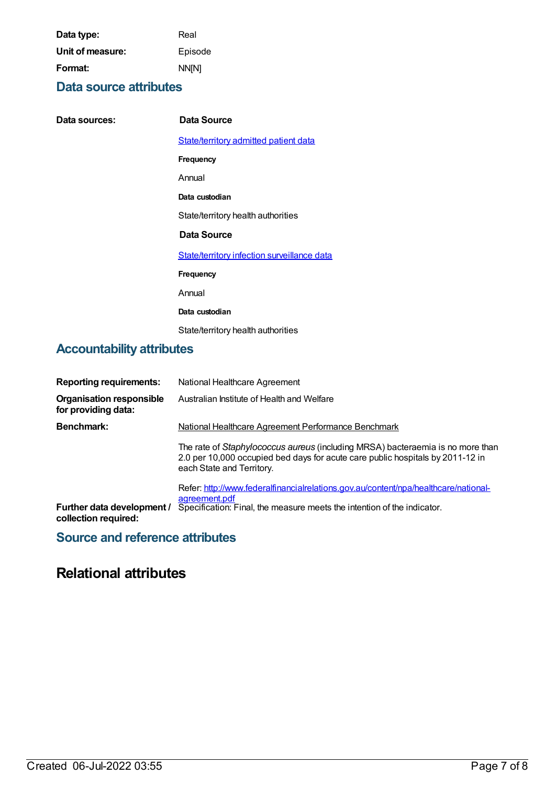| Data type:       | Real         |
|------------------|--------------|
| Unit of measure: | Episode      |
| Format:          | <b>NN[N]</b> |

### **Data source attributes**

| Data sources: | Data Source                                 |
|---------------|---------------------------------------------|
|               |                                             |
|               | State/territory admitted patient data       |
|               | Frequency                                   |
|               | Annual                                      |
|               | Data custodian                              |
|               | State/territory health authorities          |
|               | Data Source                                 |
|               | State/territory infection surveillance data |
|               | Frequency                                   |
|               | Annual                                      |
|               | Data custodian                              |
|               | State/territory health authorities          |

# **Accountability attributes**

| <b>Reporting requirements:</b><br><b>Organisation responsible</b><br>for providing data: | National Healthcare Agreement<br>Australian Institute of Health and Welfare                                                                                                                                             |
|------------------------------------------------------------------------------------------|-------------------------------------------------------------------------------------------------------------------------------------------------------------------------------------------------------------------------|
| <b>Benchmark:</b>                                                                        | National Healthcare Agreement Performance Benchmark<br>The rate of Staphylococcus aureus (including MRSA) bacteraemia is no more than<br>2.0 per 10,000 occupied bed days for acute care public hospitals by 2011-12 in |
| Further data development /<br>collection required:                                       | each State and Territory.<br>Refer: http://www.federalfinancialrelations.gov.au/content/npa/healthcare/national-<br>agreement.pdf<br>Specification: Final, the measure meets the intention of the indicator.            |

### **Source and reference attributes**

# **Relational attributes**